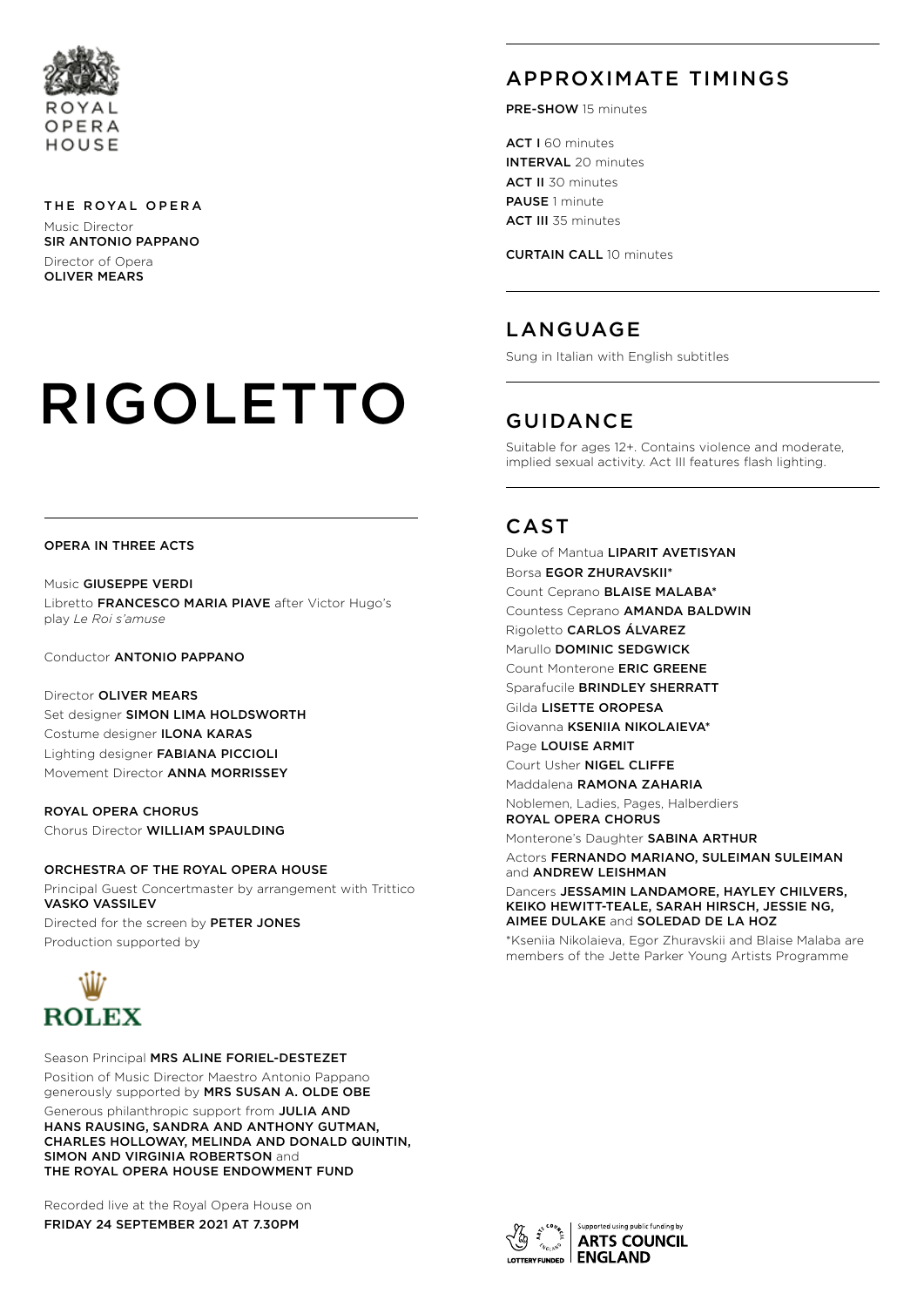

#### THE ROYAL OPERA

Music Director SIR ANTONIO PAPPANO Director of Opera OLIVER MEARS

# RIGOLETTO

## APPROXIMATE TIMINGS

PRE-SHOW 15 minutes

ACT I 60 minutes INTERVAL 20 minutes ACT II 30 minutes PAUSE 1 minute ACT III 35 minutes

CURTAIN CALL 10 minutes

## LANGUAGE

Sung in Italian with English subtitles

## GUIDANCE

Suitable for ages 12+. Contains violence and moderate, implied sexual activity. Act III features flash lighting.

## **CAST**

Duke of Mantua LIPARIT AVETISYAN Borsa EGOR ZHURAVSKII\* Count Ceprano BLAISE MALABA\* Countess Ceprano AMANDA BALDWIN Rigoletto CARLOS ÁLVAREZ Marullo **DOMINIC SEDGWICK** Count Monterone ERIC GREENE Sparafucile BRINDLEY SHERRATT Gilda LISETTE OROPESA Giovanna KSENIIA NIKOLAIEVA\* Page LOUISE ARMIT Court Usher NIGEL CLIFFE Maddalena RAMONA ZAHARIA Noblemen, Ladies, Pages, Halberdiers ROYAL OPERA CHORUS

Monterone's Daughter SABINA ARTHUR

Actors FERNANDO MARIANO, SULEIMAN SULEIMAN and ANDREW LEISHMAN

Dancers JESSAMIN LANDAMORE, HAYLEY CHILVERS, KEIKO HEWITT-TEALE, SARAH HIRSCH, JESSIE NG, AIMEE DULAKE and SOLEDAD DE LA HOZ

\*Kseniia Nikolaieva, Egor Zhuravskii and Blaise Malaba are members of the Jette Parker Young Artists Programme

#### OPERA IN THREE ACTS

Music GIUSEPPE VERDI Libretto FRANCESCO MARIA PIAVE after Victor Hugo's play *Le Roi s'amuse*

Conductor ANTONIO PAPPANO

Director OLIVER MEARS Set designer SIMON LIMA HOLDSWORTH Costume designer ILONA KARAS Lighting designer FABIANA PICCIOLI Movement Director ANNA MORRISSEY

ROYAL OPERA CHORUS Chorus Director WILLIAM SPAULDING

ORCHESTRA OF THE ROYAL OPERA HOUSE Principal Guest Concertmaster by arrangement with Trittico VASKO VASSILEV Directed for the screen by PETER JONES Production supported by



Season Principal MRS ALINE FORIEL-DESTEZET Position of Music Director Maestro Antonio Pappano generously supported by MRS SUSAN A. OLDE OBE

Generous philanthropic support from JULIA AND HANS RAUSING, SANDRA AND ANTHONY GUTMAN, CHARLES HOLLOWAY, MELINDA AND DONALD QUINTIN, SIMON AND VIRGINIA ROBERTSON and THE ROYAL OPERA HOUSE ENDOWMENT FUND

Recorded live at the Royal Opera House on FRIDAY 24 SEPTEMBER 2021 AT 7.30PM